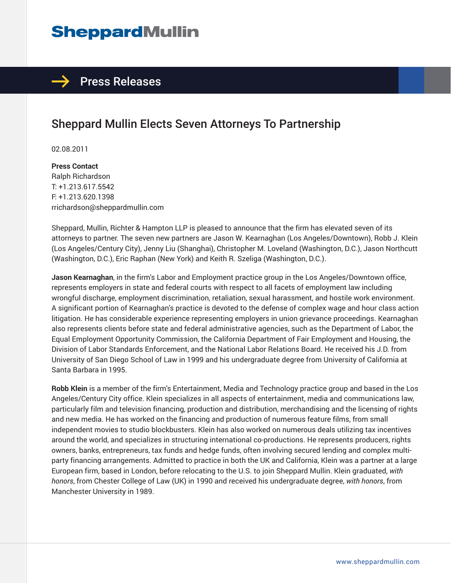# **SheppardMullin**

## $\rightarrow$  Press Releases

# Sheppard Mullin Elects Seven Attorneys To Partnership

02.08.2011

**Press Contact** Ralph Richardson T: +1.213.617.5542 F: +1.213.620.1398 rrichardson@sheppardmullin.com

Sheppard, Mullin, Richter & Hampton LLP is pleased to announce that the firm has elevated seven of its attorneys to partner. The seven new partners are Jason W. Kearnaghan (Los Angeles/Downtown), Robb J. Klein (Los Angeles/Century City), Jenny Liu (Shanghai), Christopher M. Loveland (Washington, D.C.), Jason Northcutt (Washington, D.C.), Eric Raphan (New York) and Keith R. Szeliga (Washington, D.C.).

**Jason Kearnaghan**, in the firm's Labor and Employment practice group in the Los Angeles/Downtown office, represents employers in state and federal courts with respect to all facets of employment law including wrongful discharge, employment discrimination, retaliation, sexual harassment, and hostile work environment. A significant portion of Kearnaghan's practice is devoted to the defense of complex wage and hour class action litigation. He has considerable experience representing employers in union grievance proceedings. Kearnaghan also represents clients before state and federal administrative agencies, such as the Department of Labor, the Equal Employment Opportunity Commission, the California Department of Fair Employment and Housing, the Division of Labor Standards Enforcement, and the National Labor Relations Board. He received his J.D. from University of San Diego School of Law in 1999 and his undergraduate degree from University of California at Santa Barbara in 1995.

**Robb Klein** is a member of the firm's Entertainment, Media and Technology practice group and based in the Los Angeles/Century City office. Klein specializes in all aspects of entertainment, media and communications law, particularly film and television financing, production and distribution, merchandising and the licensing of rights and new media. He has worked on the financing and production of numerous feature films, from small independent movies to studio blockbusters. Klein has also worked on numerous deals utilizing tax incentives around the world, and specializes in structuring international co-productions. He represents producers, rights owners, banks, entrepreneurs, tax funds and hedge funds, often involving secured lending and complex multiparty financing arrangements. Admitted to practice in both the UK and California, Klein was a partner at a large European firm, based in London, before relocating to the U.S. to join Sheppard Mullin. Klein graduated, *with honors*, from Chester College of Law (UK) in 1990 and received his undergraduate degree, *with honors*, from Manchester University in 1989.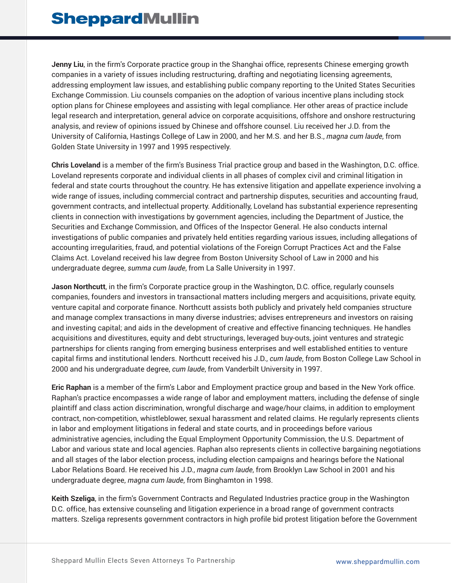**Jenny Liu**, in the firm's Corporate practice group in the Shanghai office, represents Chinese emerging growth companies in a variety of issues including restructuring, drafting and negotiating licensing agreements, addressing employment law issues, and establishing public company reporting to the United States Securities Exchange Commission. Liu counsels companies on the adoption of various incentive plans including stock option plans for Chinese employees and assisting with legal compliance. Her other areas of practice include legal research and interpretation, general advice on corporate acquisitions, offshore and onshore restructuring analysis, and review of opinions issued by Chinese and offshore counsel. Liu received her J.D. from the University of California, Hastings College of Law in 2000, and her M.S. and her B.S., *magna cum laude*, from Golden State University in 1997 and 1995 respectively.

**Chris Loveland** is a member of the firm's Business Trial practice group and based in the Washington, D.C. office. Loveland represents corporate and individual clients in all phases of complex civil and criminal litigation in federal and state courts throughout the country. He has extensive litigation and appellate experience involving a wide range of issues, including commercial contract and partnership disputes, securities and accounting fraud, government contracts, and intellectual property. Additionally, Loveland has substantial experience representing clients in connection with investigations by government agencies, including the Department of Justice, the Securities and Exchange Commission, and Offices of the Inspector General. He also conducts internal investigations of public companies and privately held entities regarding various issues, including allegations of accounting irregularities, fraud, and potential violations of the Foreign Corrupt Practices Act and the False Claims Act. Loveland received his law degree from Boston University School of Law in 2000 and his undergraduate degree, *summa cum laude*, from La Salle University in 1997.

**Jason Northcutt**, in the firm's Corporate practice group in the Washington, D.C. office, regularly counsels companies, founders and investors in transactional matters including mergers and acquisitions, private equity, venture capital and corporate finance. Northcutt assists both publicly and privately held companies structure and manage complex transactions in many diverse industries; advises entrepreneurs and investors on raising and investing capital; and aids in the development of creative and effective financing techniques. He handles acquisitions and divestitures, equity and debt structurings, leveraged buy-outs, joint ventures and strategic partnerships for clients ranging from emerging business enterprises and well established entities to venture capital firms and institutional lenders. Northcutt received his J.D., *cum laude*, from Boston College Law School in 2000 and his undergraduate degree, *cum laude*, from Vanderbilt University in 1997.

**Eric Raphan** is a member of the firm's Labor and Employment practice group and based in the New York office. Raphan's practice encompasses a wide range of labor and employment matters, including the defense of single plaintiff and class action discrimination, wrongful discharge and wage/hour claims, in addition to employment contract, non-competition, whistleblower, sexual harassment and related claims. He regularly represents clients in labor and employment litigations in federal and state courts, and in proceedings before various administrative agencies, including the Equal Employment Opportunity Commission, the U.S. Department of Labor and various state and local agencies. Raphan also represents clients in collective bargaining negotiations and all stages of the labor election process, including election campaigns and hearings before the National Labor Relations Board. He received his J.D., *magna cum laude*, from Brooklyn Law School in 2001 and his undergraduate degree, *magna cum laude*, from Binghamton in 1998.

**Keith Szeliga**, in the firm's Government Contracts and Regulated Industries practice group in the Washington D.C. office, has extensive counseling and litigation experience in a broad range of government contracts matters. Szeliga represents government contractors in high profile bid protest litigation before the Government